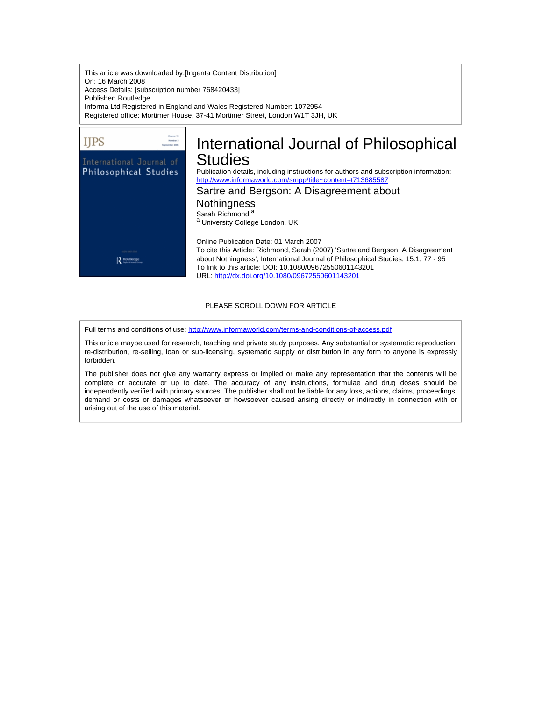This article was downloaded by:[Ingenta Content Distribution] On: 16 March 2008 Access Details: [subscription number 768420433] Publisher: Routledge Informa Ltd Registered in England and Wales Registered Number: 1072954 Registered office: Mortimer House, 37-41 Mortimer Street, London W1T 3JH, UK



# PLEASE SCROLL DOWN FOR ARTICLE

Full terms and conditions of use: <http://www.informaworld.com/terms-and-conditions-of-access.pdf>

This article maybe used for research, teaching and private study purposes. Any substantial or systematic reproduction, re-distribution, re-selling, loan or sub-licensing, systematic supply or distribution in any form to anyone is expressly forbidden.

The publisher does not give any warranty express or implied or make any representation that the contents will be complete or accurate or up to date. The accuracy of any instructions, formulae and drug doses should be independently verified with primary sources. The publisher shall not be liable for any loss, actions, claims, proceedings, demand or costs or damages whatsoever or howsoever caused arising directly or indirectly in connection with or arising out of the use of this material.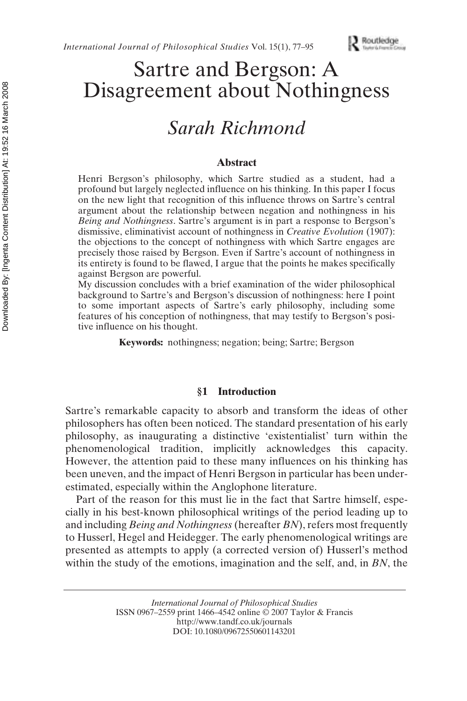

# Sartre and Bergson: A Disagreement about Nothingness

# *Sarah Richmond*

### **Abstract**

Henri Bergson's philosophy, which Sartre studied as a student, had a profound but largely neglected influence on his thinking. In this paper I focus on the new light that recognition of this influence throws on Sartre's central argument about the relationship between negation and nothingness in his *Being and Nothingness*. Sartre's argument is in part a response to Bergson's dismissive, eliminativist account of nothingness in *Creative Evolution* (1907): the objections to the concept of nothingness with which Sartre engages are precisely those raised by Bergson. Even if Sartre's account of nothingness in its entirety is found to be flawed, I argue that the points he makes specifically against Bergson are powerful.

My discussion concludes with a brief examination of the wider philosophical background to Sartre's and Bergson's discussion of nothingness: here I point to some important aspects of Sartre's early philosophy, including some features of his conception of nothingness, that may testify to Bergson's positive influence on his thought.

**Keywords:** nothingness; negation; being; Sartre; Bergson

# **§1 Introduction**

Sartre's remarkable capacity to absorb and transform the ideas of other philosophers has often been noticed. The standard presentation of his early philosophy, as inaugurating a distinctive 'existentialist' turn within the phenomenological tradition, implicitly acknowledges this capacity. However, the attention paid to these many influences on his thinking has been uneven, and the impact of Henri Bergson in particular has been underestimated, especially within the Anglophone literature.

Part of the reason for this must lie in the fact that Sartre himself, especially in his best-known philosophical writings of the period leading up to and including *Being and Nothingness*(hereafter *BN*), refers most frequently to Husserl, Hegel and Heidegger. The early phenomenological writings are presented as attempts to apply (a corrected version of) Husserl's method within the study of the emotions, imagination and the self, and, in *BN*, the

> *International Journal of Philosophical Studies* ISSN 0967–2559 print 1466–4542 online © 2007 Taylor & Francis http://www.tandf.co.uk/journals DOI: 10.1080/09672550601143201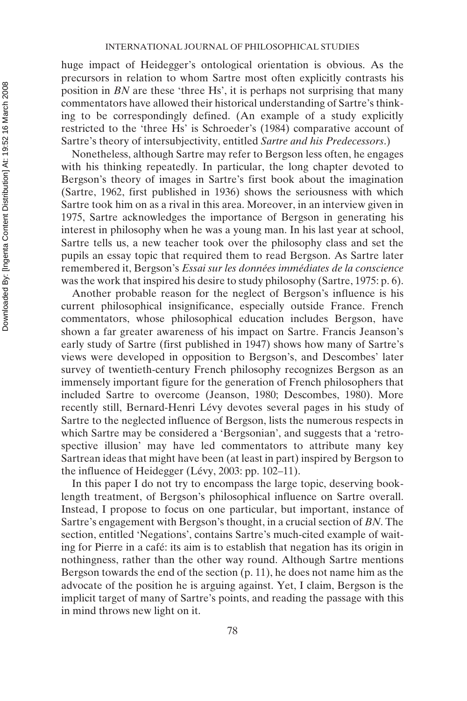huge impact of Heidegger's ontological orientation is obvious. As the precursors in relation to whom Sartre most often explicitly contrasts his position in *BN* are these 'three Hs', it is perhaps not surprising that many commentators have allowed their historical understanding of Sartre's thinking to be correspondingly defined. (An example of a study explicitly restricted to the 'three Hs' is Schroeder's (1984) comparative account of Sartre's theory of intersubjectivity, entitled *Sartre and his Predecessors*.)

Nonetheless, although Sartre may refer to Bergson less often, he engages with his thinking repeatedly. In particular, the long chapter devoted to Bergson's theory of images in Sartre's first book about the imagination (Sartre, 1962, first published in 1936) shows the seriousness with which Sartre took him on as a rival in this area. Moreover, in an interview given in 1975, Sartre acknowledges the importance of Bergson in generating his interest in philosophy when he was a young man. In his last year at school, Sartre tells us, a new teacher took over the philosophy class and set the pupils an essay topic that required them to read Bergson. As Sartre later remembered it, Bergson's *Essai sur les données immédiates de la conscience* was the work that inspired his desire to study philosophy (Sartre, 1975: p. 6).

Another probable reason for the neglect of Bergson's influence is his current philosophical insignificance, especially outside France. French commentators, whose philosophical education includes Bergson, have shown a far greater awareness of his impact on Sartre. Francis Jeanson's early study of Sartre (first published in 1947) shows how many of Sartre's views were developed in opposition to Bergson's, and Descombes' later survey of twentieth-century French philosophy recognizes Bergson as an immensely important figure for the generation of French philosophers that included Sartre to overcome (Jeanson, 1980; Descombes, 1980). More recently still, Bernard-Henri Lévy devotes several pages in his study of Sartre to the neglected influence of Bergson, lists the numerous respects in which Sartre may be considered a 'Bergsonian', and suggests that a 'retrospective illusion' may have led commentators to attribute many key Sartrean ideas that might have been (at least in part) inspired by Bergson to the influence of Heidegger (Lévy, 2003: pp. 102–11).

In this paper I do not try to encompass the large topic, deserving booklength treatment, of Bergson's philosophical influence on Sartre overall. Instead, I propose to focus on one particular, but important, instance of Sartre's engagement with Bergson's thought, in a crucial section of *BN*. The section, entitled 'Negations', contains Sartre's much-cited example of waiting for Pierre in a café: its aim is to establish that negation has its origin in nothingness, rather than the other way round. Although Sartre mentions Bergson towards the end of the section (p. 11), he does not name him as the advocate of the position he is arguing against. Yet, I claim, Bergson is the implicit target of many of Sartre's points, and reading the passage with this in mind throws new light on it.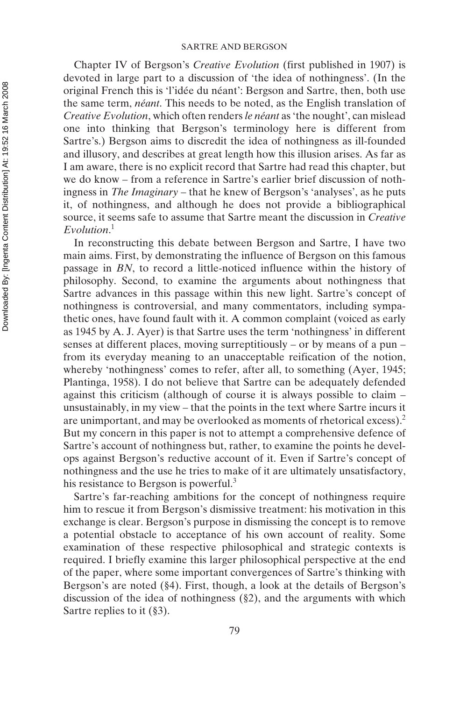Chapter IV of Bergson's *Creative Evolution* (first published in 1907) is devoted in large part to a discussion of 'the idea of nothingness'. (In the original French this is 'l'idée du néant': Bergson and Sartre, then, both use the same term, *néant*. This needs to be noted, as the English translation of *Creative Evolution*, which often renders *le néant* as 'the nought', can mislead one into thinking that Bergson's terminology here is different from Sartre's.) Bergson aims to discredit the idea of nothingness as ill-founded and illusory, and describes at great length how this illusion arises. As far as I am aware, there is no explicit record that Sartre had read this chapter, but we do know – from a reference in Sartre's earlier brief discussion of nothingness in *The Imaginary* – that he knew of Bergson's 'analyses', as he puts it, of nothingness, and although he does not provide a bibliographical source, it seems safe to assume that Sartre meant the discussion in *Creative Evolution*. 1

In reconstructing this debate between Bergson and Sartre, I have two main aims. First, by demonstrating the influence of Bergson on this famous passage in *BN*, to record a little-noticed influence within the history of philosophy. Second, to examine the arguments about nothingness that Sartre advances in this passage within this new light. Sartre's concept of nothingness is controversial, and many commentators, including sympathetic ones, have found fault with it. A common complaint (voiced as early as 1945 by A. J. Ayer) is that Sartre uses the term 'nothingness' in different senses at different places, moving surreptitiously – or by means of a pun – from its everyday meaning to an unacceptable reification of the notion, whereby 'nothingness' comes to refer, after all, to something (Ayer, 1945; Plantinga, 1958). I do not believe that Sartre can be adequately defended against this criticism (although of course it is always possible to claim – unsustainably, in my view – that the points in the text where Sartre incurs it are unimportant, and may be overlooked as moments of rhetorical excess).2 But my concern in this paper is not to attempt a comprehensive defence of Sartre's account of nothingness but, rather, to examine the points he develops against Bergson's reductive account of it. Even if Sartre's concept of nothingness and the use he tries to make of it are ultimately unsatisfactory, his resistance to Bergson is powerful.<sup>3</sup>

Sartre's far-reaching ambitions for the concept of nothingness require him to rescue it from Bergson's dismissive treatment: his motivation in this exchange is clear. Bergson's purpose in dismissing the concept is to remove a potential obstacle to acceptance of his own account of reality. Some examination of these respective philosophical and strategic contexts is required. I briefly examine this larger philosophical perspective at the end of the paper, where some important convergences of Sartre's thinking with Bergson's are noted (§4). First, though, a look at the details of Bergson's discussion of the idea of nothingness (§2), and the arguments with which Sartre replies to it (§3).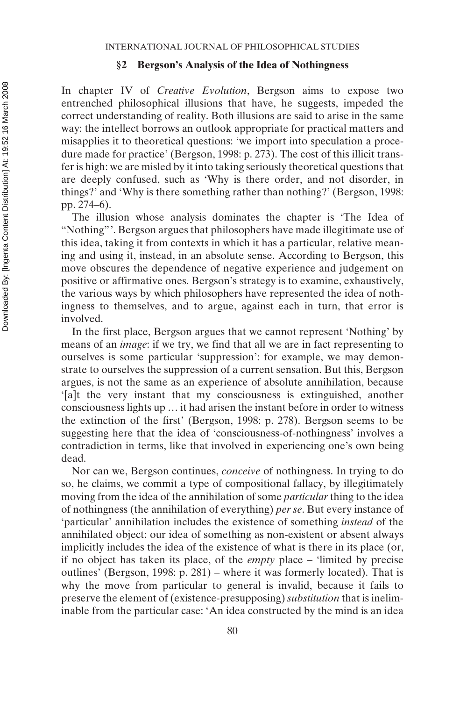#### **§2 Bergson's Analysis of the Idea of Nothingness**

In chapter IV of *Creative Evolution*, Bergson aims to expose two entrenched philosophical illusions that have, he suggests, impeded the correct understanding of reality. Both illusions are said to arise in the same way: the intellect borrows an outlook appropriate for practical matters and misapplies it to theoretical questions: 'we import into speculation a procedure made for practice' (Bergson, 1998: p. 273). The cost of this illicit transfer is high: we are misled by it into taking seriously theoretical questions that are deeply confused, such as 'Why is there order, and not disorder, in things?' and 'Why is there something rather than nothing?' (Bergson, 1998: pp. 274–6).

The illusion whose analysis dominates the chapter is 'The Idea of "Nothing"'. Bergson argues that philosophers have made illegitimate use of this idea, taking it from contexts in which it has a particular, relative meaning and using it, instead, in an absolute sense. According to Bergson, this move obscures the dependence of negative experience and judgement on positive or affirmative ones. Bergson's strategy is to examine, exhaustively, the various ways by which philosophers have represented the idea of nothingness to themselves, and to argue, against each in turn, that error is involved.

In the first place, Bergson argues that we cannot represent 'Nothing' by means of an *image*: if we try, we find that all we are in fact representing to ourselves is some particular 'suppression': for example, we may demonstrate to ourselves the suppression of a current sensation. But this, Bergson argues, is not the same as an experience of absolute annihilation, because '[a]t the very instant that my consciousness is extinguished, another consciousness lights up … it had arisen the instant before in order to witness the extinction of the first' (Bergson, 1998: p. 278). Bergson seems to be suggesting here that the idea of 'consciousness-of-nothingness' involves a contradiction in terms, like that involved in experiencing one's own being dead.

Nor can we, Bergson continues, *conceive* of nothingness. In trying to do so, he claims, we commit a type of compositional fallacy, by illegitimately moving from the idea of the annihilation of some *particular* thing to the idea of nothingness (the annihilation of everything) *per se*. But every instance of 'particular' annihilation includes the existence of something *instead* of the annihilated object: our idea of something as non-existent or absent always implicitly includes the idea of the existence of what is there in its place (or, if no object has taken its place, of the *empty* place – 'limited by precise outlines' (Bergson, 1998: p. 281) – where it was formerly located). That is why the move from particular to general is invalid, because it fails to preserve the element of (existence-presupposing) *substitution* that is ineliminable from the particular case: 'An idea constructed by the mind is an idea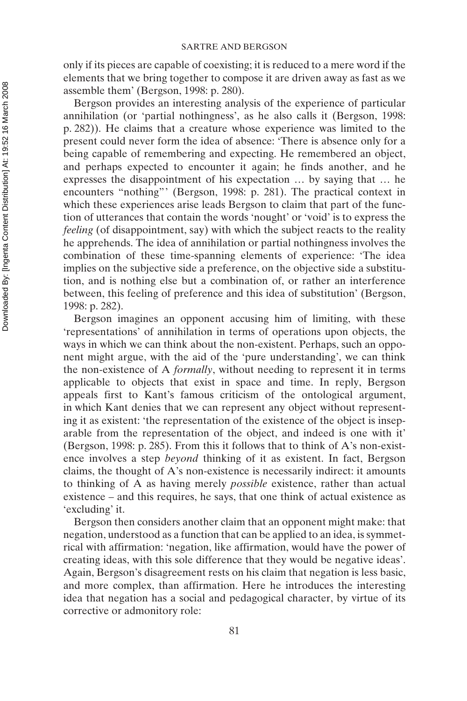only if its pieces are capable of coexisting; it is reduced to a mere word if the elements that we bring together to compose it are driven away as fast as we assemble them' (Bergson, 1998: p. 280).

Bergson provides an interesting analysis of the experience of particular annihilation (or 'partial nothingness', as he also calls it (Bergson, 1998: p. 282)). He claims that a creature whose experience was limited to the present could never form the idea of absence: 'There is absence only for a being capable of remembering and expecting. He remembered an object, and perhaps expected to encounter it again; he finds another, and he expresses the disappointment of his expectation … by saying that … he encounters "nothing"' (Bergson, 1998: p. 281). The practical context in which these experiences arise leads Bergson to claim that part of the function of utterances that contain the words 'nought' or 'void' is to express the *feeling* (of disappointment, say) with which the subject reacts to the reality he apprehends. The idea of annihilation or partial nothingness involves the combination of these time-spanning elements of experience: 'The idea implies on the subjective side a preference, on the objective side a substitution, and is nothing else but a combination of, or rather an interference between, this feeling of preference and this idea of substitution' (Bergson, 1998: p. 282).

Bergson imagines an opponent accusing him of limiting, with these 'representations' of annihilation in terms of operations upon objects, the ways in which we can think about the non-existent. Perhaps, such an opponent might argue, with the aid of the 'pure understanding', we can think the non-existence of A *formally*, without needing to represent it in terms applicable to objects that exist in space and time. In reply, Bergson appeals first to Kant's famous criticism of the ontological argument, in which Kant denies that we can represent any object without representing it as existent: 'the representation of the existence of the object is inseparable from the representation of the object, and indeed is one with it' (Bergson, 1998: p. 285). From this it follows that to think of A's non-existence involves a step *beyond* thinking of it as existent. In fact, Bergson claims, the thought of A's non-existence is necessarily indirect: it amounts to thinking of A as having merely *possible* existence, rather than actual existence – and this requires, he says, that one think of actual existence as 'excluding' it.

Bergson then considers another claim that an opponent might make: that negation, understood as a function that can be applied to an idea, is symmetrical with affirmation: 'negation, like affirmation, would have the power of creating ideas, with this sole difference that they would be negative ideas'. Again, Bergson's disagreement rests on his claim that negation is less basic, and more complex, than affirmation. Here he introduces the interesting idea that negation has a social and pedagogical character, by virtue of its corrective or admonitory role: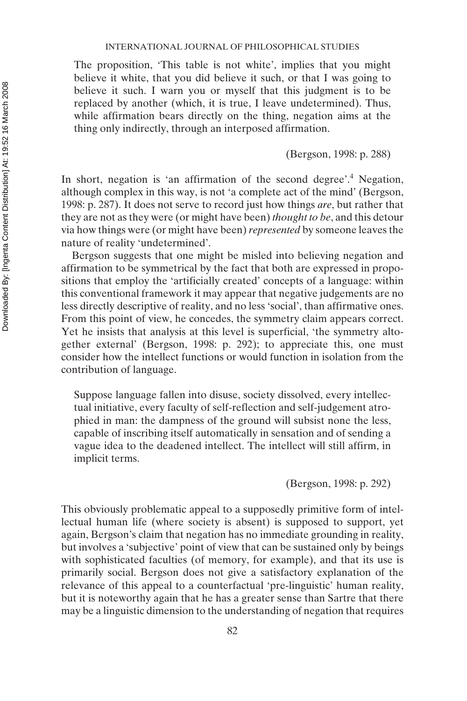The proposition, 'This table is not white', implies that you might believe it white, that you did believe it such, or that I was going to believe it such. I warn you or myself that this judgment is to be replaced by another (which, it is true, I leave undetermined). Thus, while affirmation bears directly on the thing, negation aims at the thing only indirectly, through an interposed affirmation.

(Bergson, 1998: p. 288)

In short, negation is 'an affirmation of the second degree'.<sup>4</sup> Negation, although complex in this way, is not 'a complete act of the mind' (Bergson, 1998: p. 287). It does not serve to record just how things *are*, but rather that they are not as they were (or might have been) *thought to be*, and this detour via how things were (or might have been) *represented* by someone leaves the nature of reality 'undetermined'.

Bergson suggests that one might be misled into believing negation and affirmation to be symmetrical by the fact that both are expressed in propositions that employ the 'artificially created' concepts of a language: within this conventional framework it may appear that negative judgements are no less directly descriptive of reality, and no less 'social', than affirmative ones. From this point of view, he concedes, the symmetry claim appears correct. Yet he insists that analysis at this level is superficial, 'the symmetry altogether external' (Bergson, 1998: p. 292); to appreciate this, one must consider how the intellect functions or would function in isolation from the contribution of language.

Suppose language fallen into disuse, society dissolved, every intellectual initiative, every faculty of self-reflection and self-judgement atrophied in man: the dampness of the ground will subsist none the less, capable of inscribing itself automatically in sensation and of sending a vague idea to the deadened intellect. The intellect will still affirm, in implicit terms.

(Bergson, 1998: p. 292)

This obviously problematic appeal to a supposedly primitive form of intellectual human life (where society is absent) is supposed to support, yet again, Bergson's claim that negation has no immediate grounding in reality, but involves a 'subjective' point of view that can be sustained only by beings with sophisticated faculties (of memory, for example), and that its use is primarily social. Bergson does not give a satisfactory explanation of the relevance of this appeal to a counterfactual 'pre-linguistic' human reality, but it is noteworthy again that he has a greater sense than Sartre that there may be a linguistic dimension to the understanding of negation that requires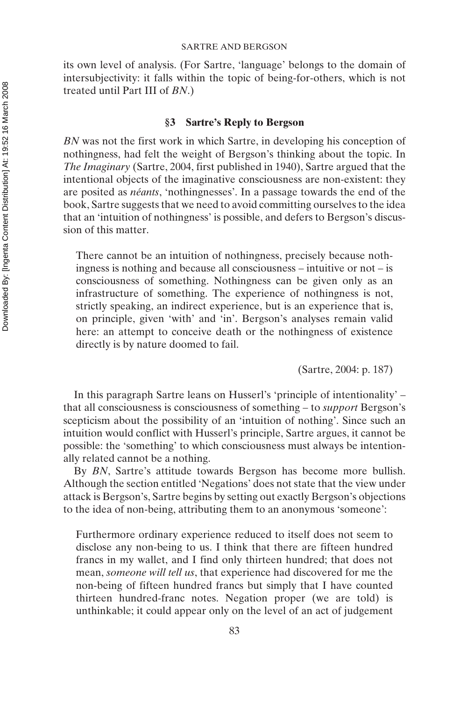its own level of analysis. (For Sartre, 'language' belongs to the domain of intersubjectivity: it falls within the topic of being-for-others, which is not treated until Part III of *BN*.)

# **§3 Sartre's Reply to Bergson**

*BN* was not the first work in which Sartre, in developing his conception of nothingness, had felt the weight of Bergson's thinking about the topic. In *The Imaginary* (Sartre, 2004, first published in 1940), Sartre argued that the intentional objects of the imaginative consciousness are non-existent: they are posited as *néants*, 'nothingnesses'. In a passage towards the end of the book, Sartre suggests that we need to avoid committing ourselves to the idea that an 'intuition of nothingness' is possible, and defers to Bergson's discussion of this matter.

There cannot be an intuition of nothingness, precisely because nothingness is nothing and because all consciousness – intuitive or not – is consciousness of something. Nothingness can be given only as an infrastructure of something. The experience of nothingness is not, strictly speaking, an indirect experience, but is an experience that is, on principle, given 'with' and 'in'. Bergson's analyses remain valid here: an attempt to conceive death or the nothingness of existence directly is by nature doomed to fail.

(Sartre, 2004: p. 187)

In this paragraph Sartre leans on Husserl's 'principle of intentionality' – that all consciousness is consciousness of something – to *support* Bergson's scepticism about the possibility of an 'intuition of nothing'. Since such an intuition would conflict with Husserl's principle, Sartre argues, it cannot be possible: the 'something' to which consciousness must always be intentionally related cannot be a nothing.

By *BN*, Sartre's attitude towards Bergson has become more bullish. Although the section entitled 'Negations' does not state that the view under attack is Bergson's, Sartre begins by setting out exactly Bergson's objections to the idea of non-being, attributing them to an anonymous 'someone':

Furthermore ordinary experience reduced to itself does not seem to disclose any non-being to us. I think that there are fifteen hundred francs in my wallet, and I find only thirteen hundred; that does not mean, *someone will tell us*, that experience had discovered for me the non-being of fifteen hundred francs but simply that I have counted thirteen hundred-franc notes. Negation proper (we are told) is unthinkable; it could appear only on the level of an act of judgement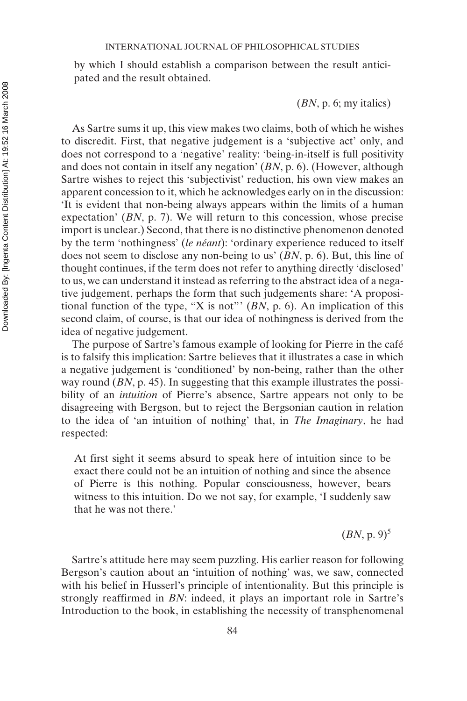by which I should establish a comparison between the result anticipated and the result obtained.

(*BN*, p. 6; my italics)

As Sartre sums it up, this view makes two claims, both of which he wishes to discredit. First, that negative judgement is a 'subjective act' only, and does not correspond to a 'negative' reality: 'being-in-itself is full positivity and does not contain in itself any negation' (*BN*, p. 6). (However, although Sartre wishes to reject this 'subjectivist' reduction, his own view makes an apparent concession to it, which he acknowledges early on in the discussion: 'It is evident that non-being always appears within the limits of a human expectation' (*BN*, p. 7). We will return to this concession, whose precise import is unclear.) Second, that there is no distinctive phenomenon denoted by the term 'nothingness' (*le néant*): 'ordinary experience reduced to itself does not seem to disclose any non-being to us' (*BN*, p. 6). But, this line of thought continues, if the term does not refer to anything directly 'disclosed' to us, we can understand it instead as referring to the abstract idea of a negative judgement, perhaps the form that such judgements share: 'A propositional function of the type, "X is not"' (*BN*, p. 6). An implication of this second claim, of course, is that our idea of nothingness is derived from the idea of negative judgement.

The purpose of Sartre's famous example of looking for Pierre in the café is to falsify this implication: Sartre believes that it illustrates a case in which a negative judgement is 'conditioned' by non-being, rather than the other way round (*BN*, p. 45). In suggesting that this example illustrates the possibility of an *intuition* of Pierre's absence, Sartre appears not only to be disagreeing with Bergson, but to reject the Bergsonian caution in relation to the idea of 'an intuition of nothing' that, in *The Imaginary*, he had respected:

At first sight it seems absurd to speak here of intuition since to be exact there could not be an intuition of nothing and since the absence of Pierre is this nothing. Popular consciousness, however, bears witness to this intuition. Do we not say, for example, 'I suddenly saw that he was not there.'

 $(BN, p. 9)^5$ 

Sartre's attitude here may seem puzzling. His earlier reason for following Bergson's caution about an 'intuition of nothing' was, we saw, connected with his belief in Husserl's principle of intentionality. But this principle is strongly reaffirmed in *BN*: indeed, it plays an important role in Sartre's Introduction to the book, in establishing the necessity of transphenomenal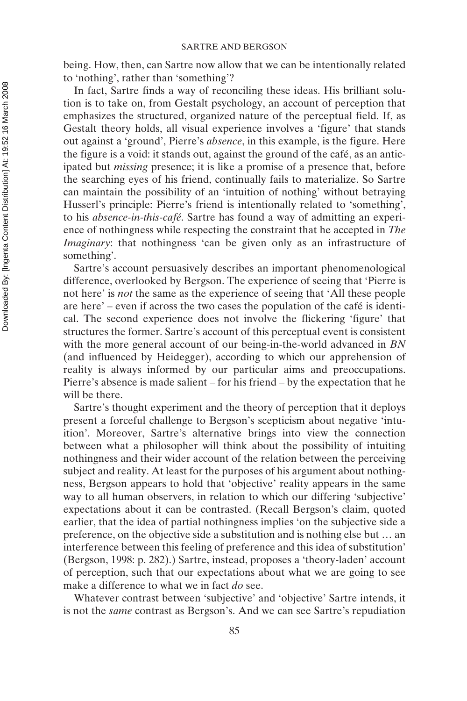being. How, then, can Sartre now allow that we can be intentionally related to 'nothing', rather than 'something'?

In fact, Sartre finds a way of reconciling these ideas. His brilliant solution is to take on, from Gestalt psychology, an account of perception that emphasizes the structured, organized nature of the perceptual field. If, as Gestalt theory holds, all visual experience involves a 'figure' that stands out against a 'ground', Pierre's *absence*, in this example, is the figure. Here the figure is a void: it stands out, against the ground of the café, as an anticipated but *missing* presence; it is like a promise of a presence that, before the searching eyes of his friend, continually fails to materialize. So Sartre can maintain the possibility of an 'intuition of nothing' without betraying Husserl's principle: Pierre's friend is intentionally related to 'something', to his *absence-in-this-café*. Sartre has found a way of admitting an experience of nothingness while respecting the constraint that he accepted in *The Imaginary*: that nothingness 'can be given only as an infrastructure of something'.

Sartre's account persuasively describes an important phenomenological difference, overlooked by Bergson. The experience of seeing that 'Pierre is not here' is *not* the same as the experience of seeing that 'All these people are here' – even if across the two cases the population of the café is identical. The second experience does not involve the flickering 'figure' that structures the former. Sartre's account of this perceptual event is consistent with the more general account of our being-in-the-world advanced in *BN* (and influenced by Heidegger), according to which our apprehension of reality is always informed by our particular aims and preoccupations. Pierre's absence is made salient – for his friend – by the expectation that he will be there.

Sartre's thought experiment and the theory of perception that it deploys present a forceful challenge to Bergson's scepticism about negative 'intuition'. Moreover, Sartre's alternative brings into view the connection between what a philosopher will think about the possibility of intuiting nothingness and their wider account of the relation between the perceiving subject and reality. At least for the purposes of his argument about nothingness, Bergson appears to hold that 'objective' reality appears in the same way to all human observers, in relation to which our differing 'subjective' expectations about it can be contrasted. (Recall Bergson's claim, quoted earlier, that the idea of partial nothingness implies 'on the subjective side a preference, on the objective side a substitution and is nothing else but … an interference between this feeling of preference and this idea of substitution' (Bergson, 1998: p. 282).) Sartre, instead, proposes a 'theory-laden' account of perception, such that our expectations about what we are going to see make a difference to what we in fact *do* see.

Whatever contrast between 'subjective' and 'objective' Sartre intends, it is not the *same* contrast as Bergson's. And we can see Sartre's repudiation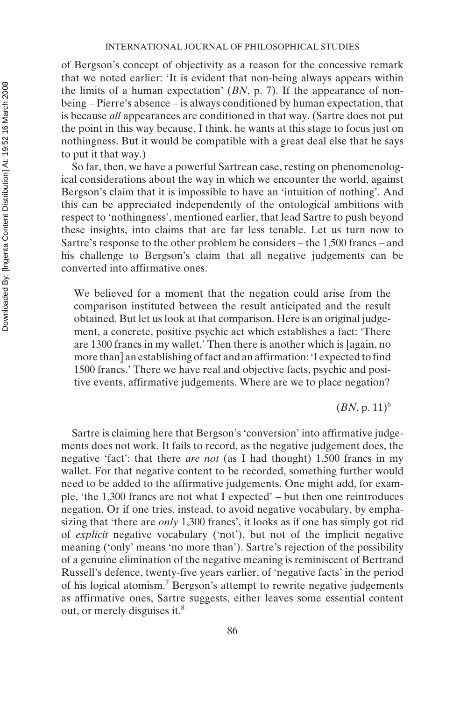of Bergson's concept of objectivity as a reason for the concessive remark that we noted earlier: 'It is evident that non-being always appears within the limits of a human expectation' (*BN*, p. 7). If the appearance of nonbeing – Pierre's absence – is always conditioned by human expectation, that is because *all* appearances are conditioned in that way. (Sartre does not put the point in this way because, I think, he wants at this stage to focus just on nothingness. But it would be compatible with a great deal else that he says to put it that way.)

So far, then, we have a powerful Sartrean case, resting on phenomenological considerations about the way in which we encounter the world, against Bergson's claim that it is impossible to have an 'intuition of nothing'. And this can be appreciated independently of the ontological ambitions with respect to 'nothingness', mentioned earlier, that lead Sartre to push beyond these insights, into claims that are far less tenable. Let us turn now to Sartre's response to the other problem he considers – the 1,500 francs – and his challenge to Bergson's claim that all negative judgements can be converted into affirmative ones.

We believed for a moment that the negation could arise from the comparison instituted between the result anticipated and the result obtained. But let us look at that comparison. Here is an original judgement, a concrete, positive psychic act which establishes a fact: 'There are 1300 francs in my wallet.' Then there is another which is [again, no more than] an establishing of fact and an affirmation: 'I expected to find 1500 francs.' There we have real and objective facts, psychic and positive events, affirmative judgements. Where are we to place negation?

 $(BN, p. 11)^6$ 

Sartre is claiming here that Bergson's 'conversion' into affirmative judgements does not work. It fails to record, as the negative judgement does, the negative 'fact': that there *are not* (as I had thought) 1,500 francs in my wallet. For that negative content to be recorded, something further would need to be added to the affirmative judgements. One might add, for example, 'the 1,300 francs are not what I expected' – but then one reintroduces negation. Or if one tries, instead, to avoid negative vocabulary, by emphasizing that 'there are *only* 1,300 francs', it looks as if one has simply got rid of *explicit* negative vocabulary ('not'), but not of the implicit negative meaning ('only' means 'no more than'). Sartre's rejection of the possibility of a genuine elimination of the negative meaning is reminiscent of Bertrand Russell's defence, twenty-five years earlier, of 'negative facts' in the period of his logical atomism.7 Bergson's attempt to rewrite negative judgements as affirmative ones, Sartre suggests, either leaves some essential content out, or merely disguises it.<sup>8</sup>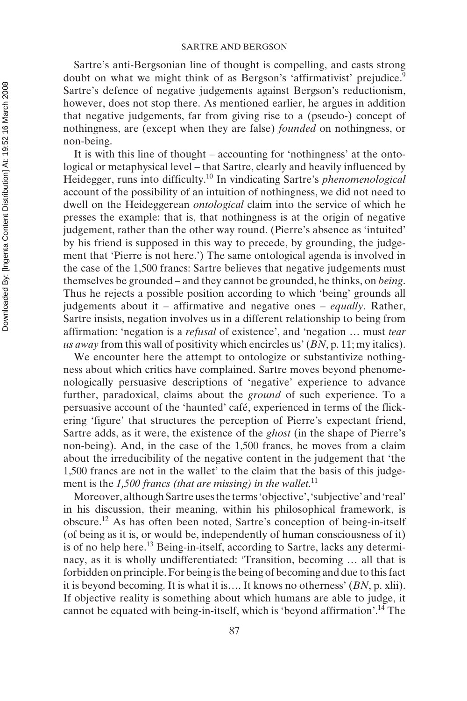Sartre's anti-Bergsonian line of thought is compelling, and casts strong doubt on what we might think of as Bergson's 'affirmativist' prejudice.<sup>9</sup> Sartre's defence of negative judgements against Bergson's reductionism, however, does not stop there. As mentioned earlier, he argues in addition that negative judgements, far from giving rise to a (pseudo-) concept of nothingness, are (except when they are false) *founded* on nothingness, or non-being.

It is with this line of thought – accounting for 'nothingness' at the ontological or metaphysical level – that Sartre, clearly and heavily influenced by Heidegger, runs into difficulty.10 In vindicating Sartre's *phenomenological* account of the possibility of an intuition of nothingness, we did not need to dwell on the Heideggerean *ontological* claim into the service of which he presses the example: that is, that nothingness is at the origin of negative judgement, rather than the other way round. (Pierre's absence as 'intuited' by his friend is supposed in this way to precede, by grounding, the judgement that 'Pierre is not here.') The same ontological agenda is involved in the case of the 1,500 francs: Sartre believes that negative judgements must themselves be grounded – and they cannot be grounded, he thinks, on *being*. Thus he rejects a possible position according to which 'being' grounds all judgements about it – affirmative and negative ones – *equally*. Rather, Sartre insists, negation involves us in a different relationship to being from affirmation: 'negation is a *refusal* of existence', and 'negation … must *tear us away* from this wall of positivity which encircles us' (*BN*, p. 11; my italics).

We encounter here the attempt to ontologize or substantivize nothingness about which critics have complained. Sartre moves beyond phenomenologically persuasive descriptions of 'negative' experience to advance further, paradoxical, claims about the *ground* of such experience. To a persuasive account of the 'haunted' café, experienced in terms of the flickering 'figure' that structures the perception of Pierre's expectant friend, Sartre adds, as it were, the existence of the *ghost* (in the shape of Pierre's non-being). And, in the case of the 1,500 francs, he moves from a claim about the irreducibility of the negative content in the judgement that 'the 1,500 francs are not in the wallet' to the claim that the basis of this judgement is the 1,500 francs (that are missing) in the wallet.<sup>11</sup>

Moreover, although Sartre uses the terms 'objective', 'subjective' and 'real' in his discussion, their meaning, within his philosophical framework, is obscure.12 As has often been noted, Sartre's conception of being-in-itself (of being as it is, or would be, independently of human consciousness of it) is of no help here.13 Being-in-itself, according to Sartre, lacks any determinacy, as it is wholly undifferentiated: 'Transition, becoming … all that is forbidden on principle. For being is the being of becoming and due to this fact it is beyond becoming. It is what it is…. It knows no otherness' (*BN*, p. xlii). If objective reality is something about which humans are able to judge, it cannot be equated with being-in-itself, which is 'beyond affirmation'.14 The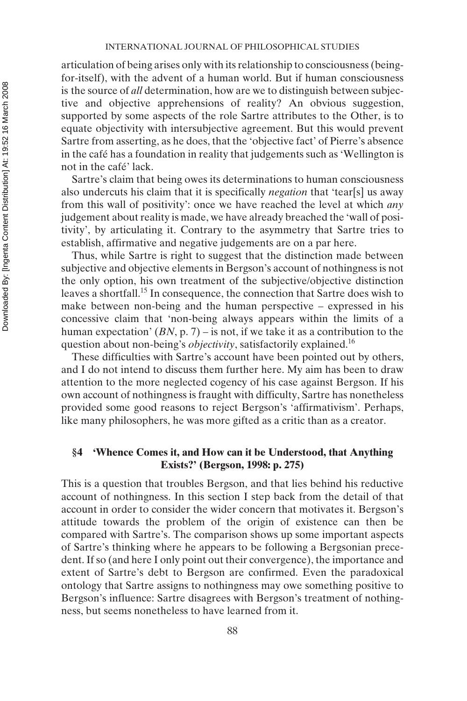articulation of being arises only with its relationship to consciousness (beingfor-itself), with the advent of a human world. But if human consciousness is the source of *all* determination, how are we to distinguish between subjective and objective apprehensions of reality? An obvious suggestion, supported by some aspects of the role Sartre attributes to the Other, is to equate objectivity with intersubjective agreement. But this would prevent Sartre from asserting, as he does, that the 'objective fact' of Pierre's absence in the café has a foundation in reality that judgements such as 'Wellington is not in the café' lack.

Sartre's claim that being owes its determinations to human consciousness also undercuts his claim that it is specifically *negation* that 'tear[s] us away from this wall of positivity': once we have reached the level at which *any* judgement about reality is made, we have already breached the 'wall of positivity', by articulating it. Contrary to the asymmetry that Sartre tries to establish, affirmative and negative judgements are on a par here.

Thus, while Sartre is right to suggest that the distinction made between subjective and objective elements in Bergson's account of nothingness is not the only option, his own treatment of the subjective/objective distinction leaves a shortfall.15 In consequence, the connection that Sartre does wish to make between non-being and the human perspective – expressed in his concessive claim that 'non-being always appears within the limits of a human expectation' (*BN*, p. 7) – is not, if we take it as a contribution to the question about non-being's *objectivity*, satisfactorily explained.16

These difficulties with Sartre's account have been pointed out by others, and I do not intend to discuss them further here. My aim has been to draw attention to the more neglected cogency of his case against Bergson. If his own account of nothingness is fraught with difficulty, Sartre has nonetheless provided some good reasons to reject Bergson's 'affirmativism'. Perhaps, like many philosophers, he was more gifted as a critic than as a creator.

# **§4 'Whence Comes it, and How can it be Understood, that Anything Exists?' (Bergson, 1998: p. 275)**

This is a question that troubles Bergson, and that lies behind his reductive account of nothingness. In this section I step back from the detail of that account in order to consider the wider concern that motivates it. Bergson's attitude towards the problem of the origin of existence can then be compared with Sartre's. The comparison shows up some important aspects of Sartre's thinking where he appears to be following a Bergsonian precedent. If so (and here I only point out their convergence), the importance and extent of Sartre's debt to Bergson are confirmed. Even the paradoxical ontology that Sartre assigns to nothingness may owe something positive to Bergson's influence: Sartre disagrees with Bergson's treatment of nothingness, but seems nonetheless to have learned from it.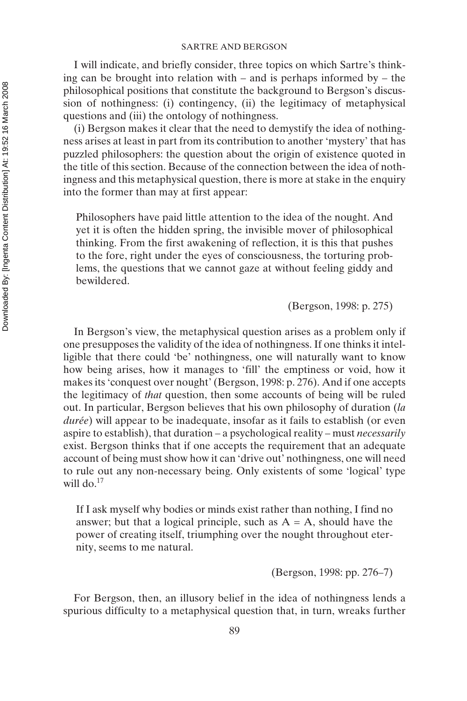I will indicate, and briefly consider, three topics on which Sartre's thinking can be brought into relation with – and is perhaps informed by – the philosophical positions that constitute the background to Bergson's discussion of nothingness: (i) contingency, (ii) the legitimacy of metaphysical questions and (iii) the ontology of nothingness.

(i) Bergson makes it clear that the need to demystify the idea of nothingness arises at least in part from its contribution to another 'mystery' that has puzzled philosophers: the question about the origin of existence quoted in the title of this section. Because of the connection between the idea of nothingness and this metaphysical question, there is more at stake in the enquiry into the former than may at first appear:

Philosophers have paid little attention to the idea of the nought. And yet it is often the hidden spring, the invisible mover of philosophical thinking. From the first awakening of reflection, it is this that pushes to the fore, right under the eyes of consciousness, the torturing problems, the questions that we cannot gaze at without feeling giddy and bewildered.

(Bergson, 1998: p. 275)

In Bergson's view, the metaphysical question arises as a problem only if one presupposes the validity of the idea of nothingness. If one thinks it intelligible that there could 'be' nothingness, one will naturally want to know how being arises, how it manages to 'fill' the emptiness or void, how it makes its 'conquest over nought' (Bergson, 1998: p. 276). And if one accepts the legitimacy of *that* question, then some accounts of being will be ruled out. In particular, Bergson believes that his own philosophy of duration (*la durée*) will appear to be inadequate, insofar as it fails to establish (or even aspire to establish), that duration – a psychological reality – must *necessarily* exist. Bergson thinks that if one accepts the requirement that an adequate account of being must show how it can 'drive out' nothingness, one will need to rule out any non-necessary being. Only existents of some 'logical' type will  $do.<sup>17</sup>$ 

If I ask myself why bodies or minds exist rather than nothing, I find no answer; but that a logical principle, such as  $A = A$ , should have the power of creating itself, triumphing over the nought throughout eternity, seems to me natural.

(Bergson, 1998: pp. 276–7)

For Bergson, then, an illusory belief in the idea of nothingness lends a spurious difficulty to a metaphysical question that, in turn, wreaks further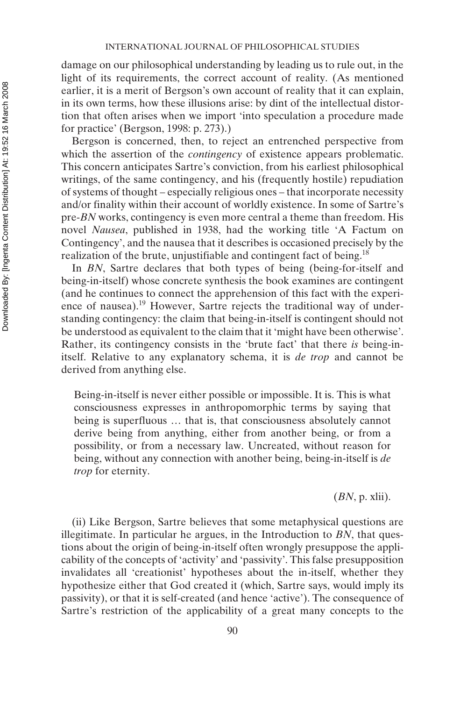damage on our philosophical understanding by leading us to rule out, in the light of its requirements, the correct account of reality. (As mentioned earlier, it is a merit of Bergson's own account of reality that it can explain, in its own terms, how these illusions arise: by dint of the intellectual distortion that often arises when we import 'into speculation a procedure made for practice' (Bergson, 1998: p. 273).)

Bergson is concerned, then, to reject an entrenched perspective from which the assertion of the *contingency* of existence appears problematic. This concern anticipates Sartre's conviction, from his earliest philosophical writings, of the same contingency, and his (frequently hostile) repudiation of systems of thought – especially religious ones – that incorporate necessity and/or finality within their account of worldly existence. In some of Sartre's pre-*BN* works, contingency is even more central a theme than freedom. His novel *Nausea*, published in 1938, had the working title 'A Factum on Contingency', and the nausea that it describes is occasioned precisely by the realization of the brute, unjustifiable and contingent fact of being.<sup>18</sup>

In *BN*, Sartre declares that both types of being (being-for-itself and being-in-itself) whose concrete synthesis the book examines are contingent (and he continues to connect the apprehension of this fact with the experience of nausea).<sup>19</sup> However, Sartre rejects the traditional way of understanding contingency: the claim that being-in-itself is contingent should not be understood as equivalent to the claim that it 'might have been otherwise'. Rather, its contingency consists in the 'brute fact' that there *is* being-initself. Relative to any explanatory schema, it is *de trop* and cannot be derived from anything else.

Being-in-itself is never either possible or impossible. It is. This is what consciousness expresses in anthropomorphic terms by saying that being is superfluous … that is, that consciousness absolutely cannot derive being from anything, either from another being, or from a possibility, or from a necessary law. Uncreated, without reason for being, without any connection with another being, being-in-itself is *de trop* for eternity.

(*BN*, p. xlii).

(ii) Like Bergson, Sartre believes that some metaphysical questions are illegitimate. In particular he argues, in the Introduction to *BN*, that questions about the origin of being-in-itself often wrongly presuppose the applicability of the concepts of 'activity' and 'passivity'. This false presupposition invalidates all 'creationist' hypotheses about the in-itself, whether they hypothesize either that God created it (which, Sartre says, would imply its passivity), or that it is self-created (and hence 'active'). The consequence of Sartre's restriction of the applicability of a great many concepts to the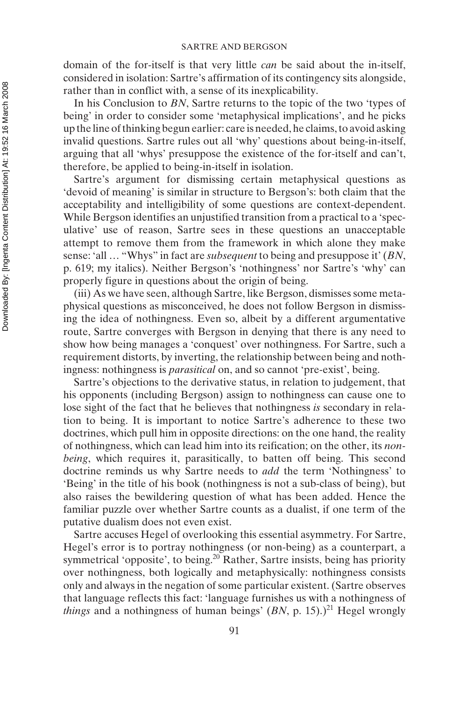domain of the for-itself is that very little *can* be said about the in-itself, considered in isolation: Sartre's affirmation of its contingency sits alongside, rather than in conflict with, a sense of its inexplicability.

In his Conclusion to *BN*, Sartre returns to the topic of the two 'types of being' in order to consider some 'metaphysical implications', and he picks up the line of thinking begun earlier: care is needed, he claims, to avoid asking invalid questions. Sartre rules out all 'why' questions about being-in-itself, arguing that all 'whys' presuppose the existence of the for-itself and can't, therefore, be applied to being-in-itself in isolation.

Sartre's argument for dismissing certain metaphysical questions as 'devoid of meaning' is similar in structure to Bergson's: both claim that the acceptability and intelligibility of some questions are context-dependent. While Bergson identifies an unjustified transition from a practical to a 'speculative' use of reason, Sartre sees in these questions an unacceptable attempt to remove them from the framework in which alone they make sense: 'all … "Whys" in fact are *subsequent* to being and presuppose it' (*BN*, p. 619; my italics). Neither Bergson's 'nothingness' nor Sartre's 'why' can properly figure in questions about the origin of being.

(iii) As we have seen, although Sartre, like Bergson, dismisses some metaphysical questions as misconceived, he does not follow Bergson in dismissing the idea of nothingness. Even so, albeit by a different argumentative route, Sartre converges with Bergson in denying that there is any need to show how being manages a 'conquest' over nothingness. For Sartre, such a requirement distorts, by inverting, the relationship between being and nothingness: nothingness is *parasitical* on, and so cannot 'pre-exist', being.

Sartre's objections to the derivative status, in relation to judgement, that his opponents (including Bergson) assign to nothingness can cause one to lose sight of the fact that he believes that nothingness *is* secondary in relation to being. It is important to notice Sartre's adherence to these two doctrines, which pull him in opposite directions: on the one hand, the reality of nothingness, which can lead him into its reification; on the other, its *nonbeing*, which requires it, parasitically, to batten off being. This second doctrine reminds us why Sartre needs to *add* the term 'Nothingness' to 'Being' in the title of his book (nothingness is not a sub-class of being), but also raises the bewildering question of what has been added. Hence the familiar puzzle over whether Sartre counts as a dualist, if one term of the putative dualism does not even exist.

Sartre accuses Hegel of overlooking this essential asymmetry. For Sartre, Hegel's error is to portray nothingness (or non-being) as a counterpart, a symmetrical 'opposite', to being.<sup>20</sup> Rather, Sartre insists, being has priority over nothingness, both logically and metaphysically: nothingness consists only and always in the negation of some particular existent. (Sartre observes that language reflects this fact: 'language furnishes us with a nothingness of *things* and a nothingness of human beings' (BN, p. 15).)<sup>21</sup> Hegel wrongly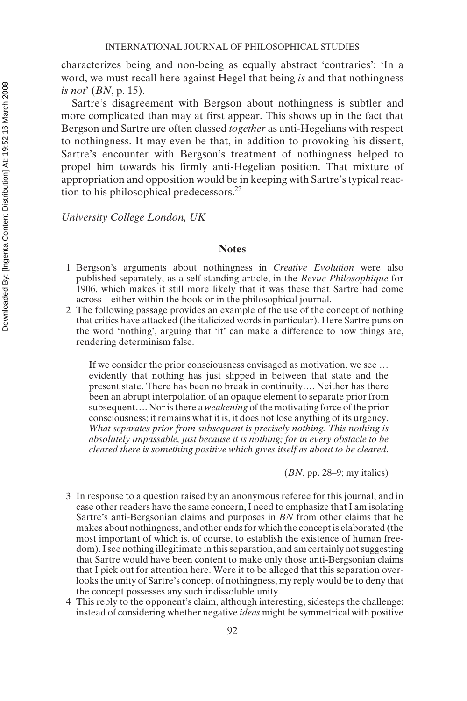characterizes being and non-being as equally abstract 'contraries': 'In a word, we must recall here against Hegel that being *is* and that nothingness *is not*' (*BN*, p. 15).

Sartre's disagreement with Bergson about nothingness is subtler and more complicated than may at first appear. This shows up in the fact that Bergson and Sartre are often classed *together* as anti-Hegelians with respect to nothingness. It may even be that, in addition to provoking his dissent, Sartre's encounter with Bergson's treatment of nothingness helped to propel him towards his firmly anti-Hegelian position. That mixture of appropriation and opposition would be in keeping with Sartre's typical reaction to his philosophical predecessors.22

*University College London, UK*

#### **Notes**

- 1 Bergson's arguments about nothingness in *Creative Evolution* were also published separately, as a self-standing article, in the *Revue Philosophique* for 1906, which makes it still more likely that it was these that Sartre had come across – either within the book or in the philosophical journal.
- 2 The following passage provides an example of the use of the concept of nothing that critics have attacked (the italicized words in particular). Here Sartre puns on the word 'nothing', arguing that 'it' can make a difference to how things are, rendering determinism false.

If we consider the prior consciousness envisaged as motivation, we see … evidently that nothing has just slipped in between that state and the present state. There has been no break in continuity…. Neither has there been an abrupt interpolation of an opaque element to separate prior from subsequent…. Nor is there a *weakening* of the motivating force of the prior consciousness; it remains what it is, it does not lose anything of its urgency. *What separates prior from subsequent is precisely nothing. This nothing is absolutely impassable, just because it is nothing; for in every obstacle to be cleared there is something positive which gives itself as about to be cleared*.

(*BN*, pp. 28–9; my italics)

- 3 In response to a question raised by an anonymous referee for this journal, and in case other readers have the same concern, I need to emphasize that I am isolating Sartre's anti-Bergsonian claims and purposes in *BN* from other claims that he makes about nothingness, and other ends for which the concept is elaborated (the most important of which is, of course, to establish the existence of human freedom). I see nothing illegitimate in this separation, and am certainly not suggesting that Sartre would have been content to make only those anti-Bergsonian claims that I pick out for attention here. Were it to be alleged that this separation overlooks the unity of Sartre's concept of nothingness, my reply would be to deny that the concept possesses any such indissoluble unity.
- 4 This reply to the opponent's claim, although interesting, sidesteps the challenge: instead of considering whether negative *ideas* might be symmetrical with positive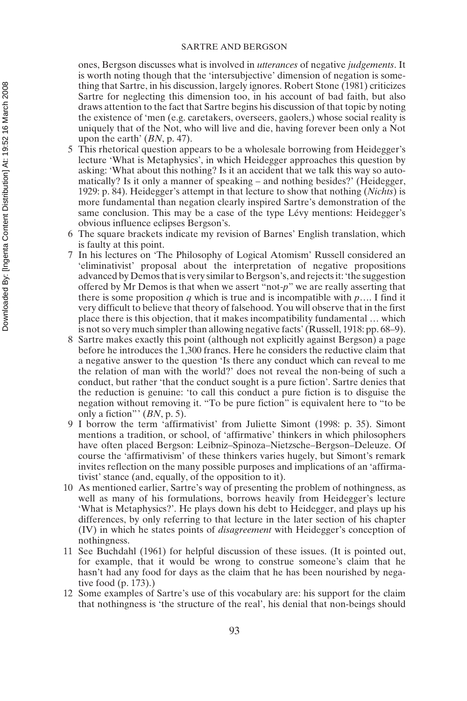### SARTRE AND BERGSON

ones, Bergson discusses what is involved in *utterances* of negative *judgements*. It is worth noting though that the 'intersubjective' dimension of negation is something that Sartre, in his discussion, largely ignores. Robert Stone (1981) criticizes Sartre for neglecting this dimension too, in his account of bad faith, but also draws attention to the fact that Sartre begins his discussion of that topic by noting the existence of 'men (e.g. caretakers, overseers, gaolers,) whose social reality is uniquely that of the Not, who will live and die, having forever been only a Not upon the earth' (*BN*, p. 47).

- 5 This rhetorical question appears to be a wholesale borrowing from Heidegger's lecture 'What is Metaphysics', in which Heidegger approaches this question by asking: 'What about this nothing? Is it an accident that we talk this way so automatically? Is it only a manner of speaking – and nothing besides?' (Heidegger, 1929: p. 84). Heidegger's attempt in that lecture to show that nothing (*Nichts*) is more fundamental than negation clearly inspired Sartre's demonstration of the same conclusion. This may be a case of the type Lévy mentions: Heidegger's obvious influence eclipses Bergson's.
- 6 The square brackets indicate my revision of Barnes' English translation, which is faulty at this point.
- 7 In his lectures on 'The Philosophy of Logical Atomism' Russell considered an 'eliminativist' proposal about the interpretation of negative propositions advanced by Demos that is very similar to Bergson's, and rejects it: 'the suggestion offered by Mr Demos is that when we assert "not-*p*" we are really asserting that there is some proposition *q* which is true and is incompatible with *p*…. I find it very difficult to believe that theory of falsehood. You will observe that in the first place there is this objection, that it makes incompatibility fundamental … which is not so very much simpler than allowing negative facts' (Russell, 1918: pp. 68–9).
- 8 Sartre makes exactly this point (although not explicitly against Bergson) a page before he introduces the 1,300 francs. Here he considers the reductive claim that a negative answer to the question 'Is there any conduct which can reveal to me the relation of man with the world?' does not reveal the non-being of such a conduct, but rather 'that the conduct sought is a pure fiction'. Sartre denies that the reduction is genuine: 'to call this conduct a pure fiction is to disguise the negation without removing it. "To be pure fiction" is equivalent here to "to be only a fiction"' (*BN*, p. 5).
- 9 I borrow the term 'affirmativist' from Juliette Simont (1998: p. 35). Simont mentions a tradition, or school, of 'affirmative' thinkers in which philosophers have often placed Bergson: Leibniz–Spinoza–Nietzsche–Bergson–Deleuze. Of course the 'affirmativism' of these thinkers varies hugely, but Simont's remark invites reflection on the many possible purposes and implications of an 'affirmativist' stance (and, equally, of the opposition to it).
- 10 As mentioned earlier, Sartre's way of presenting the problem of nothingness, as well as many of his formulations, borrows heavily from Heidegger's lecture 'What is Metaphysics?'. He plays down his debt to Heidegger, and plays up his differences, by only referring to that lecture in the later section of his chapter (IV) in which he states points of *disagreement* with Heidegger's conception of nothingness.
- 11 See Buchdahl (1961) for helpful discussion of these issues. (It is pointed out, for example, that it would be wrong to construe someone's claim that he hasn't had any food for days as the claim that he has been nourished by negative food (p. 173).)
- 12 Some examples of Sartre's use of this vocabulary are: his support for the claim that nothingness is 'the structure of the real', his denial that non-beings should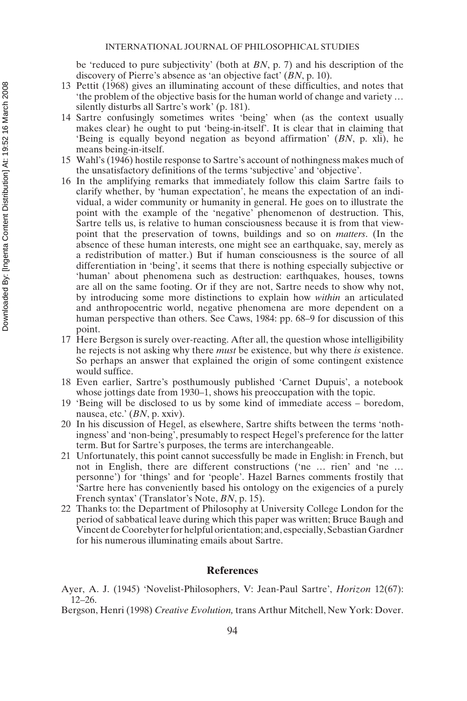be 'reduced to pure subjectivity' (both at *BN*, p. 7) and his description of the discovery of Pierre's absence as 'an objective fact' (*BN*, p. 10).

- 13 Pettit (1968) gives an illuminating account of these difficulties, and notes that 'the problem of the objective basis for the human world of change and variety … silently disturbs all Sartre's work' (p. 181).
- 14 Sartre confusingly sometimes writes 'being' when (as the context usually makes clear) he ought to put 'being-in-itself'. It is clear that in claiming that 'Being is equally beyond negation as beyond affirmation' (*BN*, p. xli), he means being-in-itself.
- 15 Wahl's (1946) hostile response to Sartre's account of nothingness makes much of the unsatisfactory definitions of the terms 'subjective' and 'objective'.
- 16 In the amplifying remarks that immediately follow this claim Sartre fails to clarify whether, by 'human expectation', he means the expectation of an individual, a wider community or humanity in general. He goes on to illustrate the point with the example of the 'negative' phenomenon of destruction. This, Sartre tells us, is relative to human consciousness because it is from that viewpoint that the preservation of towns, buildings and so on *matters*. (In the absence of these human interests, one might see an earthquake, say, merely as a redistribution of matter.) But if human consciousness is the source of all differentiation in 'being', it seems that there is nothing especially subjective or 'human' about phenomena such as destruction: earthquakes, houses, towns are all on the same footing. Or if they are not, Sartre needs to show why not, by introducing some more distinctions to explain how *within* an articulated and anthropocentric world, negative phenomena are more dependent on a human perspective than others. See Caws, 1984: pp. 68–9 for discussion of this point.
- 17 Here Bergson is surely over-reacting. After all, the question whose intelligibility he rejects is not asking why there *must* be existence, but why there *is* existence. So perhaps an answer that explained the origin of some contingent existence would suffice.
- 18 Even earlier, Sartre's posthumously published 'Carnet Dupuis', a notebook whose jottings date from 1930–1, shows his preoccupation with the topic.
- 19 'Being will be disclosed to us by some kind of immediate access boredom, nausea, etc.' (*BN*, p. xxiv).
- 20 In his discussion of Hegel, as elsewhere, Sartre shifts between the terms 'nothingness' and 'non-being', presumably to respect Hegel's preference for the latter term. But for Sartre's purposes, the terms are interchangeable.
- 21 Unfortunately, this point cannot successfully be made in English: in French, but not in English, there are different constructions ('ne … rien' and 'ne … personne') for 'things' and for 'people'. Hazel Barnes comments frostily that 'Sartre here has conveniently based his ontology on the exigencies of a purely French syntax' (Translator's Note, *BN*, p. 15).
- 22 Thanks to: the Department of Philosophy at University College London for the period of sabbatical leave during which this paper was written; Bruce Baugh and Vincent de Coorebyter for helpful orientation; and, especially, Sebastian Gardner for his numerous illuminating emails about Sartre.

#### **References**

Ayer, A. J. (1945) 'Novelist-Philosophers, V: Jean-Paul Sartre', *Horizon* 12(67): 12–26.

Bergson, Henri (1998) *Creative Evolution,* trans Arthur Mitchell, New York: Dover.